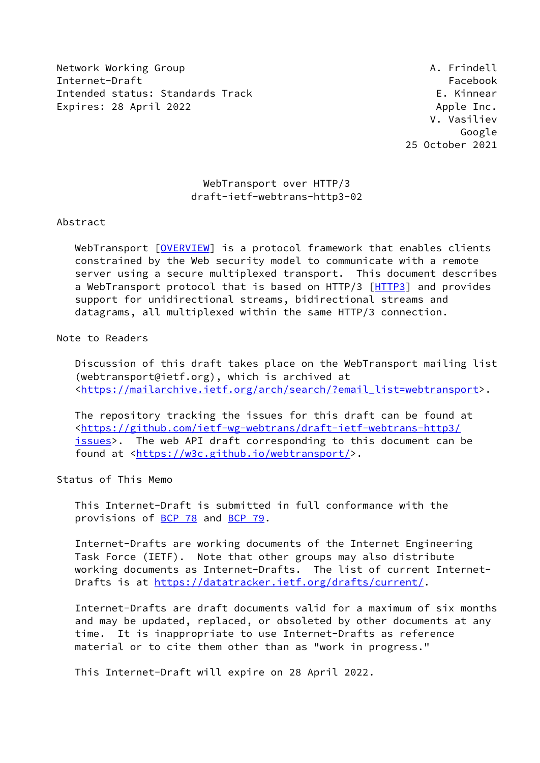Network Working Group **A. Frindell** Internet-Draft Facebook Intended status: Standards Track E. Kinnear Expires: 28 April 2022 **Apple Inc.** Apple Inc.

 V. Vasiliev Google 25 October 2021

# WebTransport over HTTP/3 draft-ietf-webtrans-http3-02

### Abstract

WebTransport [\[OVERVIEW](#page-14-0)] is a protocol framework that enables clients constrained by the Web security model to communicate with a remote server using a secure multiplexed transport. This document describes a WebTransport protocol that is based on HTTP/3 [\[HTTP3](#page-14-1)] and provides support for unidirectional streams, bidirectional streams and datagrams, all multiplexed within the same HTTP/3 connection.

# Note to Readers

 Discussion of this draft takes place on the WebTransport mailing list (webtransport@ietf.org), which is archived at [<https://mailarchive.ietf.org/arch/search/?email\\_list=webtransport](https://mailarchive.ietf.org/arch/search/?email_list=webtransport)>.

 The repository tracking the issues for this draft can be found at [<https://github.com/ietf-wg-webtrans/draft-ietf-webtrans-http3/](https://github.com/ietf-wg-webtrans/draft-ietf-webtrans-http3/issues) [issues](https://github.com/ietf-wg-webtrans/draft-ietf-webtrans-http3/issues)>. The web API draft corresponding to this document can be found at [<https://w3c.github.io/webtransport/](https://w3c.github.io/webtransport/)>.

Status of This Memo

 This Internet-Draft is submitted in full conformance with the provisions of [BCP 78](https://datatracker.ietf.org/doc/pdf/bcp78) and [BCP 79](https://datatracker.ietf.org/doc/pdf/bcp79).

 Internet-Drafts are working documents of the Internet Engineering Task Force (IETF). Note that other groups may also distribute working documents as Internet-Drafts. The list of current Internet Drafts is at<https://datatracker.ietf.org/drafts/current/>.

 Internet-Drafts are draft documents valid for a maximum of six months and may be updated, replaced, or obsoleted by other documents at any time. It is inappropriate to use Internet-Drafts as reference material or to cite them other than as "work in progress."

This Internet-Draft will expire on 28 April 2022.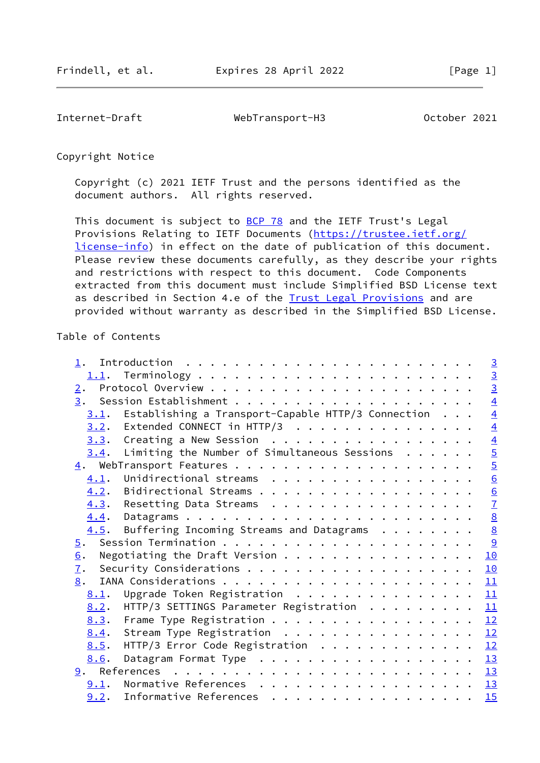Internet-Draft WebTransport-H3 October 2021

Copyright Notice

 Copyright (c) 2021 IETF Trust and the persons identified as the document authors. All rights reserved.

This document is subject to **[BCP 78](https://datatracker.ietf.org/doc/pdf/bcp78)** and the IETF Trust's Legal Provisions Relating to IETF Documents ([https://trustee.ietf.org/](https://trustee.ietf.org/license-info) [license-info](https://trustee.ietf.org/license-info)) in effect on the date of publication of this document. Please review these documents carefully, as they describe your rights and restrictions with respect to this document. Code Components extracted from this document must include Simplified BSD License text as described in Section 4.e of the [Trust Legal Provisions](https://trustee.ietf.org/license-info) and are provided without warranty as described in the Simplified BSD License.

#### Table of Contents

| $1$ .            |                                                                                                        |  |  |  | $\overline{3}$  |
|------------------|--------------------------------------------------------------------------------------------------------|--|--|--|-----------------|
|                  |                                                                                                        |  |  |  |                 |
| $\overline{2}$ . |                                                                                                        |  |  |  | $\frac{3}{3}$   |
|                  |                                                                                                        |  |  |  | $\overline{4}$  |
| 3.1.             | Establishing a Transport-Capable HTTP/3 Connection                                                     |  |  |  | $\overline{4}$  |
| 3.2.             | Extended CONNECT in HTTP/3                                                                             |  |  |  | $\overline{4}$  |
| 3.3.             | Creating a New Session                                                                                 |  |  |  |                 |
| 3.4.             | Limiting the Number of Simultaneous Sessions                                                           |  |  |  | $\frac{4}{5}$   |
|                  |                                                                                                        |  |  |  | $\overline{5}$  |
| 4.1.             | Unidirectional streams                                                                                 |  |  |  | $\underline{6}$ |
| 4.2.             | Bidirectional Streams                                                                                  |  |  |  | 6               |
|                  | 4.3. Resetting Data Streams                                                                            |  |  |  | $\overline{1}$  |
| 4.4.             |                                                                                                        |  |  |  | $\underline{8}$ |
| 4.5.             | Buffering Incoming Streams and Datagrams $\cdot \cdot \cdot \cdot \cdot \cdot \cdot \cdot \frac{8}{2}$ |  |  |  |                 |
| 5.               |                                                                                                        |  |  |  | <u>୍ର</u>       |
| 6.               |                                                                                                        |  |  |  | 10              |
| $\overline{1}$ . |                                                                                                        |  |  |  | 10              |
| 8.               |                                                                                                        |  |  |  | 11              |
| 8.1.             | Upgrade Token Registration                                                                             |  |  |  | 11              |
| 8.2.             | HTTP/3 SETTINGS Parameter Registration                                                                 |  |  |  | 11              |
| 8.3.             | Frame Type Registration 12                                                                             |  |  |  |                 |
| 8.4.             | Stream Type Registration                                                                               |  |  |  | 12              |
| 8.5.             | HTTP/3 Error Code Registration 12                                                                      |  |  |  |                 |
| 8.6.             |                                                                                                        |  |  |  | 13              |
|                  |                                                                                                        |  |  |  |                 |
| 9.1.             | Normative References $\frac{13}{2}$                                                                    |  |  |  |                 |
| 9.2.             | Informative References                                                                                 |  |  |  | 15              |
|                  |                                                                                                        |  |  |  |                 |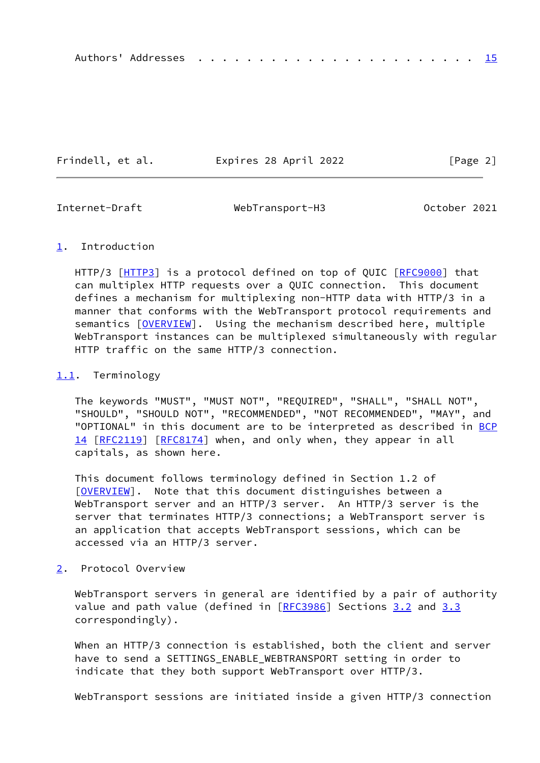|--|--|--|--|--|--|--|--|--|--|--|--|--|--|--|--|--|--|--|--|--|--|--|--|--|--|

Frindell, et al. Expires 28 April 2022 [Page 2]

<span id="page-2-1"></span>

Internet-Draft WebTransport-H3 October 2021

# <span id="page-2-0"></span>[1](#page-2-0). Introduction

HTTP/3 [\[HTTP3](#page-14-1)] is a protocol defined on top of QUIC [\[RFC9000](https://datatracker.ietf.org/doc/pdf/rfc9000)] that can multiplex HTTP requests over a QUIC connection. This document defines a mechanism for multiplexing non-HTTP data with HTTP/3 in a manner that conforms with the WebTransport protocol requirements and semantics [[OVERVIEW\]](#page-14-0). Using the mechanism described here, multiple WebTransport instances can be multiplexed simultaneously with regular HTTP traffic on the same HTTP/3 connection.

# <span id="page-2-2"></span>[1.1](#page-2-2). Terminology

 The keywords "MUST", "MUST NOT", "REQUIRED", "SHALL", "SHALL NOT", "SHOULD", "SHOULD NOT", "RECOMMENDED", "NOT RECOMMENDED", "MAY", and "OPTIONAL" in this document are to be interpreted as described in [BCP](https://datatracker.ietf.org/doc/pdf/bcp14) [14](https://datatracker.ietf.org/doc/pdf/bcp14) [[RFC2119\]](https://datatracker.ietf.org/doc/pdf/rfc2119) [\[RFC8174](https://datatracker.ietf.org/doc/pdf/rfc8174)] when, and only when, they appear in all capitals, as shown here.

 This document follows terminology defined in Section 1.2 of [\[OVERVIEW](#page-14-0)]. Note that this document distinguishes between a WebTransport server and an HTTP/3 server. An HTTP/3 server is the server that terminates HTTP/3 connections; a WebTransport server is an application that accepts WebTransport sessions, which can be accessed via an HTTP/3 server.

# <span id="page-2-3"></span>[2](#page-2-3). Protocol Overview

 WebTransport servers in general are identified by a pair of authority value and path value (defined in [\[RFC3986](https://datatracker.ietf.org/doc/pdf/rfc3986)] Sections [3.2](#page-4-0) and [3.3](#page-4-1) correspondingly).

When an HTTP/3 connection is established, both the client and server have to send a SETTINGS\_ENABLE\_WEBTRANSPORT setting in order to indicate that they both support WebTransport over HTTP/3.

WebTransport sessions are initiated inside a given HTTP/3 connection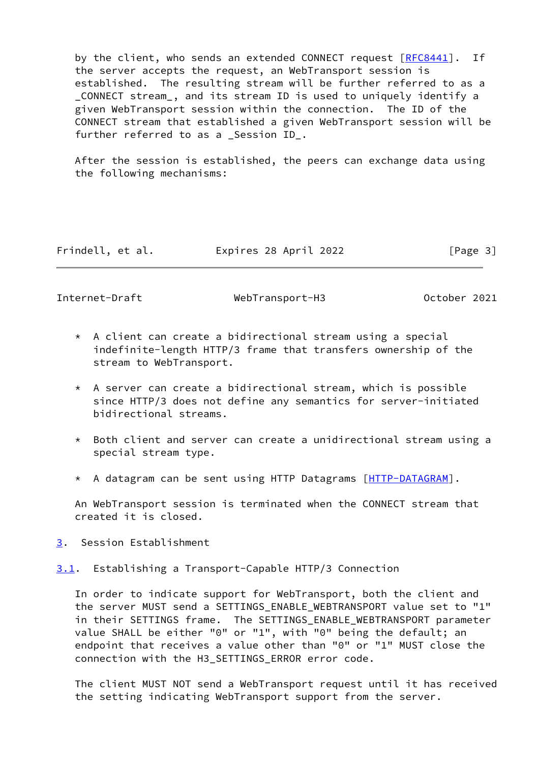by the client, who sends an extended CONNECT request [\[RFC8441](https://datatracker.ietf.org/doc/pdf/rfc8441)]. If the server accepts the request, an WebTransport session is established. The resulting stream will be further referred to as a \_CONNECT stream\_, and its stream ID is used to uniquely identify a given WebTransport session within the connection. The ID of the CONNECT stream that established a given WebTransport session will be further referred to as a Session ID.

 After the session is established, the peers can exchange data using the following mechanisms:

Frindell, et al. Expires 28 April 2022 [Page 3]

<span id="page-3-1"></span>Internet-Draft WebTransport-H3 October 2021

- \* A client can create a bidirectional stream using a special indefinite-length HTTP/3 frame that transfers ownership of the stream to WebTransport.
- \* A server can create a bidirectional stream, which is possible since HTTP/3 does not define any semantics for server-initiated bidirectional streams.
- \* Both client and server can create a unidirectional stream using a special stream type.
- \* A datagram can be sent using HTTP Datagrams [\[HTTP-DATAGRAM](#page-14-4)].

 An WebTransport session is terminated when the CONNECT stream that created it is closed.

<span id="page-3-0"></span>[3](#page-3-0). Session Establishment

<span id="page-3-2"></span>[3.1](#page-3-2). Establishing a Transport-Capable HTTP/3 Connection

 In order to indicate support for WebTransport, both the client and the server MUST send a SETTINGS\_ENABLE\_WEBTRANSPORT value set to "1" in their SETTINGS frame. The SETTINGS\_ENABLE\_WEBTRANSPORT parameter value SHALL be either "0" or "1", with "0" being the default; an endpoint that receives a value other than "0" or "1" MUST close the connection with the H3\_SETTINGS\_ERROR error code.

 The client MUST NOT send a WebTransport request until it has received the setting indicating WebTransport support from the server.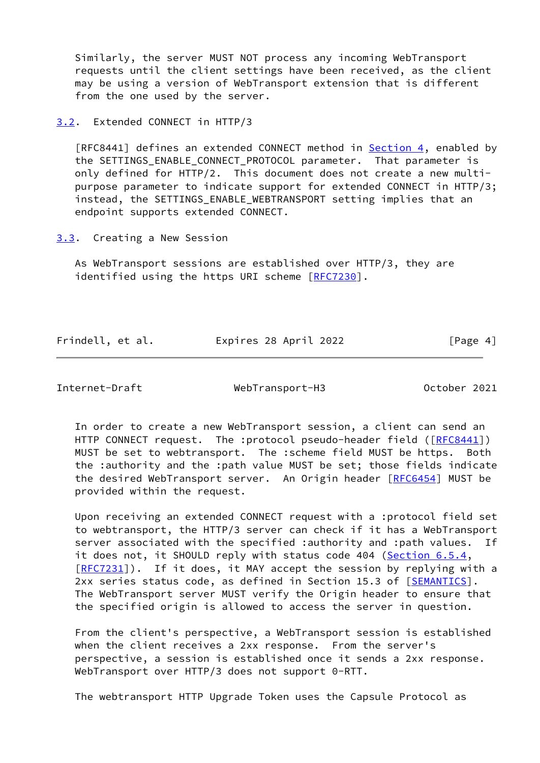Similarly, the server MUST NOT process any incoming WebTransport requests until the client settings have been received, as the client may be using a version of WebTransport extension that is different from the one used by the server.

<span id="page-4-0"></span>[3.2](#page-4-0). Extended CONNECT in HTTP/3

[RFC8441] defines an extended CONNECT method in **Section 4**, enabled by the SETTINGS\_ENABLE\_CONNECT\_PROTOCOL parameter. That parameter is only defined for HTTP/2. This document does not create a new multi purpose parameter to indicate support for extended CONNECT in HTTP/3; instead, the SETTINGS\_ENABLE\_WEBTRANSPORT setting implies that an endpoint supports extended CONNECT.

<span id="page-4-1"></span>[3.3](#page-4-1). Creating a New Session

 As WebTransport sessions are established over HTTP/3, they are identified using the https URI scheme [[RFC7230](https://datatracker.ietf.org/doc/pdf/rfc7230)].

Frindell, et al. Expires 28 April 2022 [Page 4]

<span id="page-4-2"></span>Internet-Draft WebTransport-H3 October 2021

 In order to create a new WebTransport session, a client can send an HTTP CONNECT request. The :protocol pseudo-header field ([[RFC8441](https://datatracker.ietf.org/doc/pdf/rfc8441)]) MUST be set to webtransport. The :scheme field MUST be https. Both the :authority and the :path value MUST be set; those fields indicate the desired WebTransport server. An Origin header [[RFC6454\]](https://datatracker.ietf.org/doc/pdf/rfc6454) MUST be provided within the request.

 Upon receiving an extended CONNECT request with a :protocol field set to webtransport, the HTTP/3 server can check if it has a WebTransport server associated with the specified :authority and :path values. If it does not, it SHOULD reply with status code 404 (Section 6.5.4, [\[RFC7231](https://datatracker.ietf.org/doc/pdf/rfc7231)]). If it does, it MAY accept the session by replying with a 2xx series status code, as defined in Section 15.3 of [[SEMANTICS\]](#page-15-2). The WebTransport server MUST verify the Origin header to ensure that the specified origin is allowed to access the server in question.

 From the client's perspective, a WebTransport session is established when the client receives a 2xx response. From the server's perspective, a session is established once it sends a 2xx response. WebTransport over HTTP/3 does not support 0-RTT.

The webtransport HTTP Upgrade Token uses the Capsule Protocol as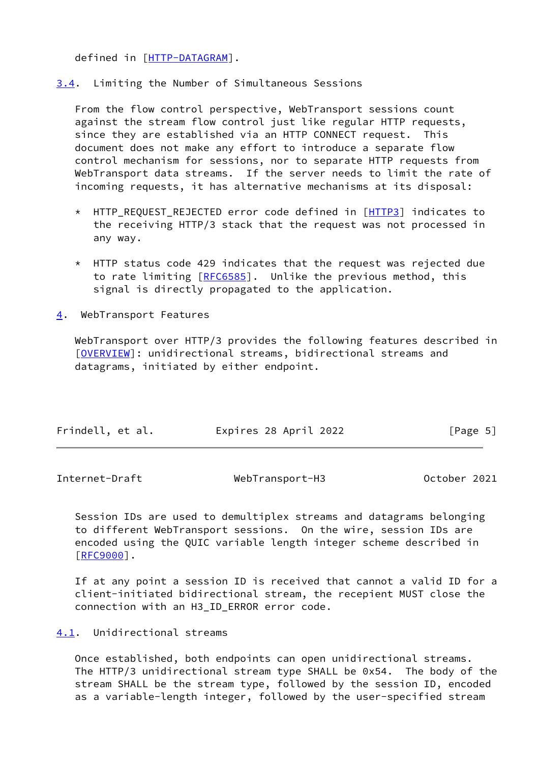defined in [[HTTP-DATAGRAM\]](#page-14-4).

<span id="page-5-0"></span>[3.4](#page-5-0). Limiting the Number of Simultaneous Sessions

 From the flow control perspective, WebTransport sessions count against the stream flow control just like regular HTTP requests, since they are established via an HTTP CONNECT request. This document does not make any effort to introduce a separate flow control mechanism for sessions, nor to separate HTTP requests from WebTransport data streams. If the server needs to limit the rate of incoming requests, it has alternative mechanisms at its disposal:

- \* HTTP\_REQUEST\_REJECTED error code defined in [\[HTTP3](#page-14-1)] indicates to the receiving HTTP/3 stack that the request was not processed in any way.
- $*$  HTTP status code 429 indicates that the request was rejected due to rate limiting [\[RFC6585](https://datatracker.ietf.org/doc/pdf/rfc6585)]. Unlike the previous method, this signal is directly propagated to the application.
- <span id="page-5-1"></span>[4](#page-5-1). WebTransport Features

 WebTransport over HTTP/3 provides the following features described in [\[OVERVIEW](#page-14-0)]: unidirectional streams, bidirectional streams and datagrams, initiated by either endpoint.

| Frindell, et al. |  | Expires 28 April 2022 | [Page 5] |  |
|------------------|--|-----------------------|----------|--|
|                  |  |                       |          |  |

<span id="page-5-3"></span>

| Internet-Draft | WebTransport-H3 | October 2021 |
|----------------|-----------------|--------------|
|----------------|-----------------|--------------|

 Session IDs are used to demultiplex streams and datagrams belonging to different WebTransport sessions. On the wire, session IDs are encoded using the QUIC variable length integer scheme described in [\[RFC9000](https://datatracker.ietf.org/doc/pdf/rfc9000)].

 If at any point a session ID is received that cannot a valid ID for a client-initiated bidirectional stream, the recepient MUST close the connection with an H3\_ID\_ERROR error code.

<span id="page-5-2"></span>[4.1](#page-5-2). Unidirectional streams

 Once established, both endpoints can open unidirectional streams. The HTTP/3 unidirectional stream type SHALL be 0x54. The body of the stream SHALL be the stream type, followed by the session ID, encoded as a variable-length integer, followed by the user-specified stream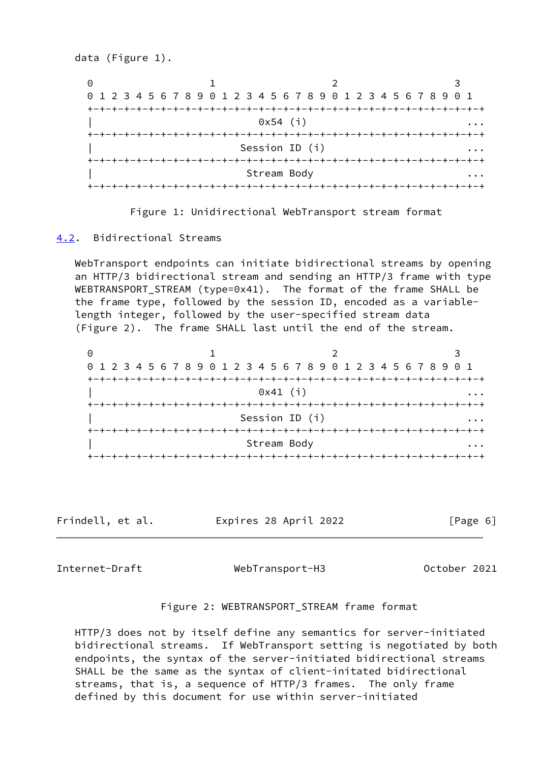data (Figure 1). 0 1 2 3 0 1 2 3 4 5 6 7 8 9 0 1 2 3 4 5 6 7 8 9 0 1 2 3 4 5 6 7 8 9 0 1 +-+-+-+-+-+-+-+-+-+-+-+-+-+-+-+-+-+-+-+-+-+-+-+-+-+-+-+-+-+-+-+-+  $0x54$  (i)  $...$  +-+-+-+-+-+-+-+-+-+-+-+-+-+-+-+-+-+-+-+-+-+-+-+-+-+-+-+-+-+-+-+-+ Session ID (i) ... ... ... ... +-+-+-+-+-+-+-+-+-+-+-+-+-+-+-+-+-+-+-+-+-+-+-+-+-+-+-+-+-+-+-+-+ Stream Body +-+-+-+-+-+-+-+-+-+-+-+-+-+-+-+-+-+-+-+-+-+-+-+-+-+-+-+-+-+-+-+-+

Figure 1: Unidirectional WebTransport stream format

### <span id="page-6-0"></span>[4.2](#page-6-0). Bidirectional Streams

 WebTransport endpoints can initiate bidirectional streams by opening an HTTP/3 bidirectional stream and sending an HTTP/3 frame with type WEBTRANSPORT\_STREAM (type=0x41). The format of the frame SHALL be the frame type, followed by the session ID, encoded as a variable length integer, followed by the user-specified stream data (Figure 2). The frame SHALL last until the end of the stream.

0 1 2 3 0 1 2 3 4 5 6 7 8 9 0 1 2 3 4 5 6 7 8 9 0 1 2 3 4 5 6 7 8 9 0 1 +-+-+-+-+-+-+-+-+-+-+-+-+-+-+-+-+-+-+-+-+-+-+-+-+-+-+-+-+-+-+-+-+  $0x41$  (i) +-+-+-+-+-+-+-+-+-+-+-+-+-+-+-+-+-+-+-+-+-+-+-+-+-+-+-+-+-+-+-+-+ Session ID (i) +-+-+-+-+-+-+-+-+-+-+-+-+-+-+-+-+-+-+-+-+-+-+-+-+-+-+-+-+-+-+-+-+ Stream Body +-+-+-+-+-+-+-+-+-+-+-+-+-+-+-+-+-+-+-+-+-+-+-+-+-+-+-+-+-+-+-+-+

Frindell, et al. Expires 28 April 2022 [Page 6]

<span id="page-6-1"></span>Internet-Draft WebTransport-H3 October 2021

#### Figure 2: WEBTRANSPORT\_STREAM frame format

 HTTP/3 does not by itself define any semantics for server-initiated bidirectional streams. If WebTransport setting is negotiated by both endpoints, the syntax of the server-initiated bidirectional streams SHALL be the same as the syntax of client-initated bidirectional streams, that is, a sequence of HTTP/3 frames. The only frame defined by this document for use within server-initiated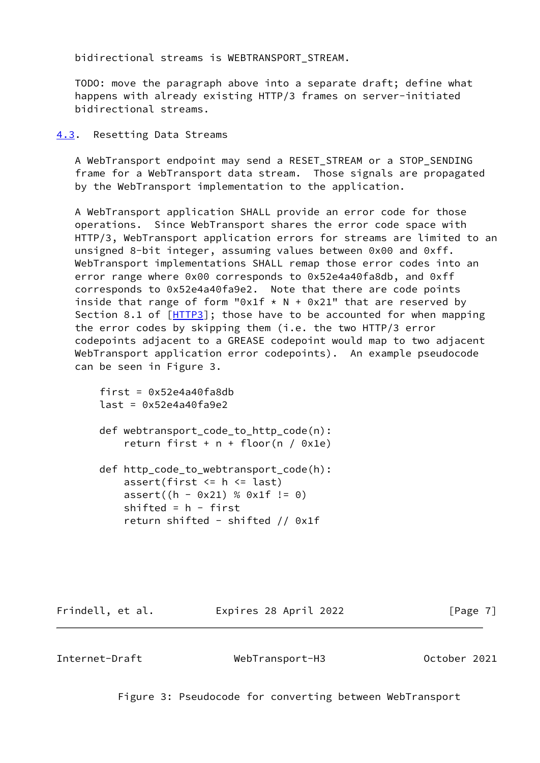bidirectional streams is WEBTRANSPORT\_STREAM.

 TODO: move the paragraph above into a separate draft; define what happens with already existing HTTP/3 frames on server-initiated bidirectional streams.

<span id="page-7-0"></span>[4.3](#page-7-0). Resetting Data Streams

 A WebTransport endpoint may send a RESET\_STREAM or a STOP\_SENDING frame for a WebTransport data stream. Those signals are propagated by the WebTransport implementation to the application.

 A WebTransport application SHALL provide an error code for those operations. Since WebTransport shares the error code space with HTTP/3, WebTransport application errors for streams are limited to an unsigned 8-bit integer, assuming values between 0x00 and 0xff. WebTransport implementations SHALL remap those error codes into an error range where 0x00 corresponds to 0x52e4a40fa8db, and 0xff corresponds to 0x52e4a40fa9e2. Note that there are code points inside that range of form "0x1f  $*$  N + 0x21" that are reserved by Section 8.1 of  $[HTTP3]$  $[HTTP3]$ ; those have to be accounted for when mapping the error codes by skipping them (i.e. the two HTTP/3 error codepoints adjacent to a GREASE codepoint would map to two adjacent WebTransport application error codepoints). An example pseudocode can be seen in Figure 3.

```
first = 0x52e4a40fa8dblast = 0x52e4a40fa9e2 def webtransport_code_to_http_code(n):
   return first + n + floor(n / 0x1e)
def http_code_to_webtransport_code(h):
   assert(first \leq h \leq last)
   assert((h - 0x21) % 0x1f != 0)shifted = h - first
    return shifted - shifted // 0x1f
```
Frindell, et al. Expires 28 April 2022 [Page 7]

<span id="page-7-1"></span>

Internet-Draft WebTransport-H3 October 2021

Figure 3: Pseudocode for converting between WebTransport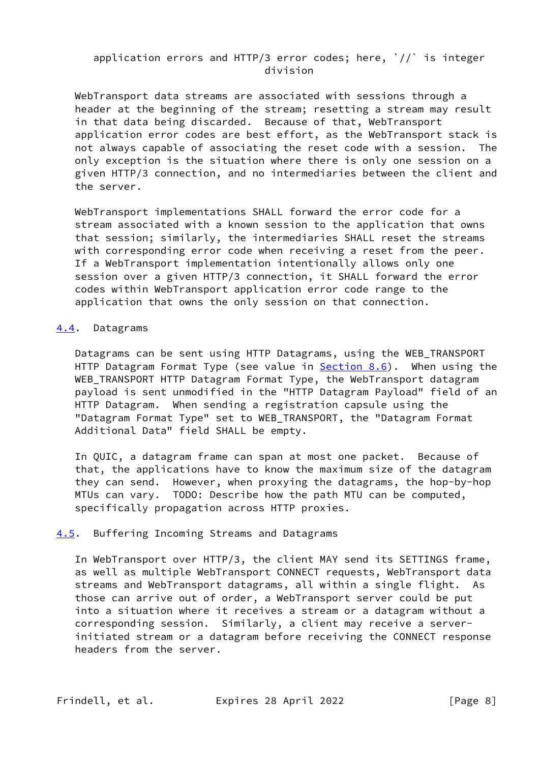# application errors and HTTP/3 error codes; here,  $\dot{\ }$ // $\dot{\ }$  is integer division

 WebTransport data streams are associated with sessions through a header at the beginning of the stream; resetting a stream may result in that data being discarded. Because of that, WebTransport application error codes are best effort, as the WebTransport stack is not always capable of associating the reset code with a session. The only exception is the situation where there is only one session on a given HTTP/3 connection, and no intermediaries between the client and the server.

 WebTransport implementations SHALL forward the error code for a stream associated with a known session to the application that owns that session; similarly, the intermediaries SHALL reset the streams with corresponding error code when receiving a reset from the peer. If a WebTransport implementation intentionally allows only one session over a given HTTP/3 connection, it SHALL forward the error codes within WebTransport application error code range to the application that owns the only session on that connection.

### <span id="page-8-0"></span>[4.4](#page-8-0). Datagrams

 Datagrams can be sent using HTTP Datagrams, using the WEB\_TRANSPORT HTTP Datagram Format Type (see value in **Section 8.6)**. When using the WEB\_TRANSPORT HTTP Datagram Format Type, the WebTransport datagram payload is sent unmodified in the "HTTP Datagram Payload" field of an HTTP Datagram. When sending a registration capsule using the "Datagram Format Type" set to WEB\_TRANSPORT, the "Datagram Format Additional Data" field SHALL be empty.

 In QUIC, a datagram frame can span at most one packet. Because of that, the applications have to know the maximum size of the datagram they can send. However, when proxying the datagrams, the hop-by-hop MTUs can vary. TODO: Describe how the path MTU can be computed, specifically propagation across HTTP proxies.

# <span id="page-8-1"></span>[4.5](#page-8-1). Buffering Incoming Streams and Datagrams

 In WebTransport over HTTP/3, the client MAY send its SETTINGS frame, as well as multiple WebTransport CONNECT requests, WebTransport data streams and WebTransport datagrams, all within a single flight. As those can arrive out of order, a WebTransport server could be put into a situation where it receives a stream or a datagram without a corresponding session. Similarly, a client may receive a server initiated stream or a datagram before receiving the CONNECT response headers from the server.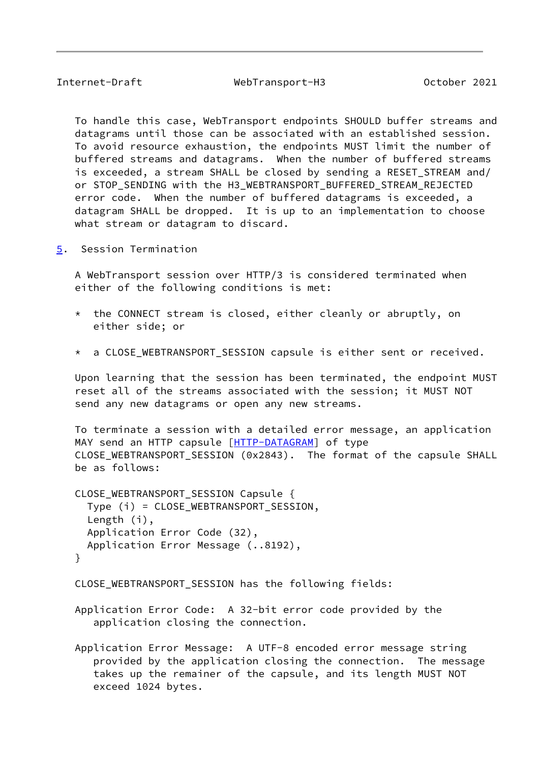<span id="page-9-1"></span>Internet-Draft WebTransport-H3 October 2021

 To handle this case, WebTransport endpoints SHOULD buffer streams and datagrams until those can be associated with an established session. To avoid resource exhaustion, the endpoints MUST limit the number of buffered streams and datagrams. When the number of buffered streams is exceeded, a stream SHALL be closed by sending a RESET STREAM and/ or STOP SENDING with the H3 WEBTRANSPORT BUFFERED STREAM REJECTED error code. When the number of buffered datagrams is exceeded, a datagram SHALL be dropped. It is up to an implementation to choose what stream or datagram to discard.

<span id="page-9-0"></span>[5](#page-9-0). Session Termination

 A WebTransport session over HTTP/3 is considered terminated when either of the following conditions is met:

- \* the CONNECT stream is closed, either cleanly or abruptly, on either side; or
- \* a CLOSE\_WEBTRANSPORT\_SESSION capsule is either sent or received.

 Upon learning that the session has been terminated, the endpoint MUST reset all of the streams associated with the session; it MUST NOT send any new datagrams or open any new streams.

 To terminate a session with a detailed error message, an application MAY send an HTTP capsule [\[HTTP-DATAGRAM\]](#page-14-4) of type CLOSE\_WEBTRANSPORT\_SESSION (0x2843). The format of the capsule SHALL be as follows:

 CLOSE\_WEBTRANSPORT\_SESSION Capsule { Type (i) = CLOSE\_WEBTRANSPORT\_SESSION, Length (i), Application Error Code (32), Application Error Message (..8192), }

CLOSE\_WEBTRANSPORT\_SESSION has the following fields:

- Application Error Code: A 32-bit error code provided by the application closing the connection.
- Application Error Message: A UTF-8 encoded error message string provided by the application closing the connection. The message takes up the remainer of the capsule, and its length MUST NOT exceed 1024 bytes.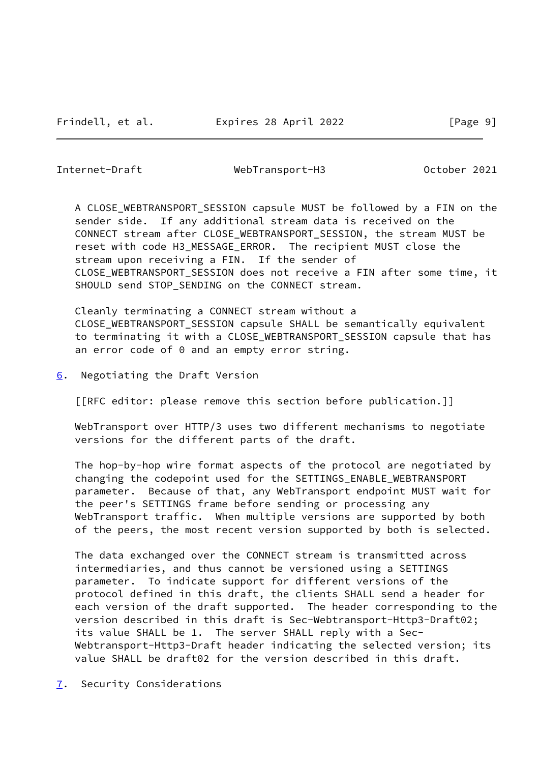<span id="page-10-1"></span>Internet-Draft WebTransport-H3 October 2021

 A CLOSE\_WEBTRANSPORT\_SESSION capsule MUST be followed by a FIN on the sender side. If any additional stream data is received on the CONNECT stream after CLOSE\_WEBTRANSPORT\_SESSION, the stream MUST be reset with code H3\_MESSAGE\_ERROR. The recipient MUST close the stream upon receiving a FIN. If the sender of CLOSE\_WEBTRANSPORT\_SESSION does not receive a FIN after some time, it SHOULD send STOP\_SENDING on the CONNECT stream.

 Cleanly terminating a CONNECT stream without a CLOSE\_WEBTRANSPORT\_SESSION capsule SHALL be semantically equivalent to terminating it with a CLOSE\_WEBTRANSPORT\_SESSION capsule that has an error code of 0 and an empty error string.

<span id="page-10-0"></span>[6](#page-10-0). Negotiating the Draft Version

[[RFC editor: please remove this section before publication.]]

 WebTransport over HTTP/3 uses two different mechanisms to negotiate versions for the different parts of the draft.

 The hop-by-hop wire format aspects of the protocol are negotiated by changing the codepoint used for the SETTINGS\_ENABLE\_WEBTRANSPORT parameter. Because of that, any WebTransport endpoint MUST wait for the peer's SETTINGS frame before sending or processing any WebTransport traffic. When multiple versions are supported by both of the peers, the most recent version supported by both is selected.

 The data exchanged over the CONNECT stream is transmitted across intermediaries, and thus cannot be versioned using a SETTINGS parameter. To indicate support for different versions of the protocol defined in this draft, the clients SHALL send a header for each version of the draft supported. The header corresponding to the version described in this draft is Sec-Webtransport-Http3-Draft02; its value SHALL be 1. The server SHALL reply with a Sec- Webtransport-Http3-Draft header indicating the selected version; its value SHALL be draft02 for the version described in this draft.

<span id="page-10-2"></span>[7](#page-10-2). Security Considerations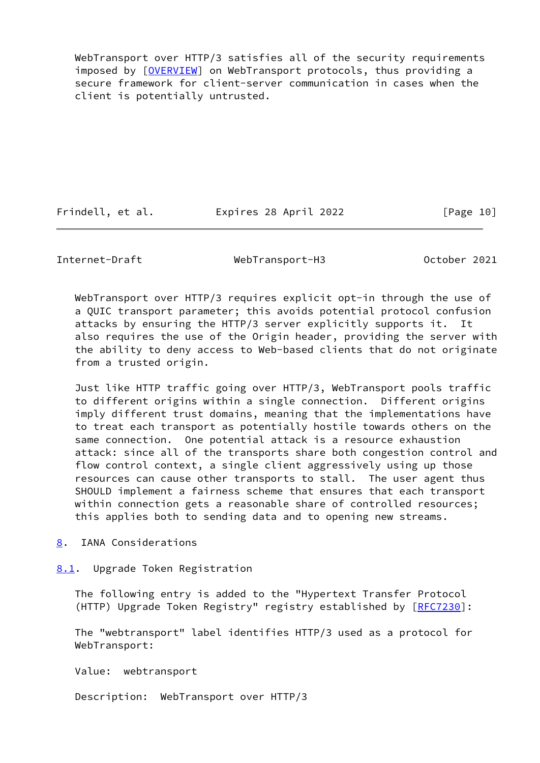WebTransport over HTTP/3 satisfies all of the security requirements imposed by [[OVERVIEW\]](#page-14-0) on WebTransport protocols, thus providing a secure framework for client-server communication in cases when the client is potentially untrusted.

Frindell, et al. Expires 28 April 2022 [Page 10]

<span id="page-11-1"></span>Internet-Draft WebTransport-H3 October 2021

 WebTransport over HTTP/3 requires explicit opt-in through the use of a QUIC transport parameter; this avoids potential protocol confusion attacks by ensuring the HTTP/3 server explicitly supports it. It also requires the use of the Origin header, providing the server with the ability to deny access to Web-based clients that do not originate from a trusted origin.

 Just like HTTP traffic going over HTTP/3, WebTransport pools traffic to different origins within a single connection. Different origins imply different trust domains, meaning that the implementations have to treat each transport as potentially hostile towards others on the same connection. One potential attack is a resource exhaustion attack: since all of the transports share both congestion control and flow control context, a single client aggressively using up those resources can cause other transports to stall. The user agent thus SHOULD implement a fairness scheme that ensures that each transport within connection gets a reasonable share of controlled resources; this applies both to sending data and to opening new streams.

<span id="page-11-0"></span>[8](#page-11-0). IANA Considerations

<span id="page-11-2"></span>[8.1](#page-11-2). Upgrade Token Registration

 The following entry is added to the "Hypertext Transfer Protocol (HTTP) Upgrade Token Registry" registry established by [\[RFC7230](https://datatracker.ietf.org/doc/pdf/rfc7230)]:

 The "webtransport" label identifies HTTP/3 used as a protocol for WebTransport:

Value: webtransport

Description: WebTransport over HTTP/3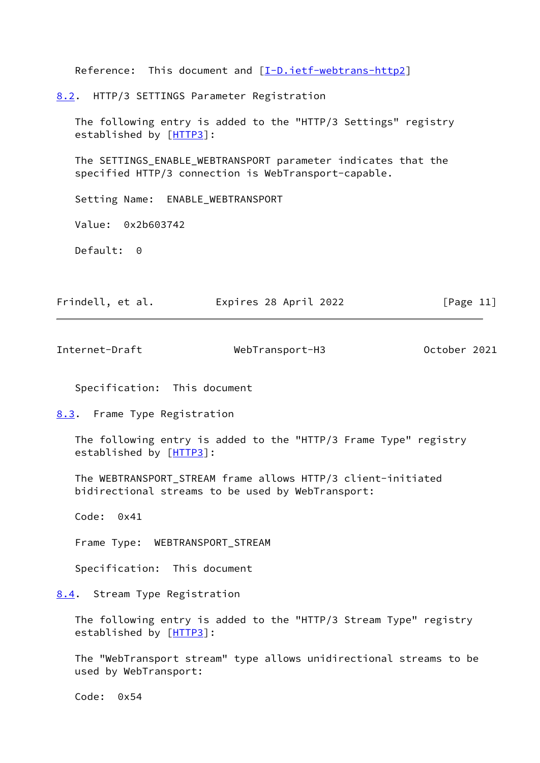<span id="page-12-0"></span>Reference: This document and [[I-D.ietf-webtrans-http2](#page-15-3)] [8.2](#page-12-0). HTTP/3 SETTINGS Parameter Registration The following entry is added to the "HTTP/3 Settings" registry established by [\[HTTP3](#page-14-1)]: The SETTINGS\_ENABLE\_WEBTRANSPORT parameter indicates that the specified HTTP/3 connection is WebTransport-capable. Setting Name: ENABLE\_WEBTRANSPORT Value: 0x2b603742 Default: 0 Frindell, et al. Expires 28 April 2022 [Page 11] Internet-Draft WebTransport-H3 October 2021 Specification: This document [8.3](#page-12-1). Frame Type Registration The following entry is added to the "HTTP/3 Frame Type" registry established by [\[HTTP3](#page-14-1)]:

<span id="page-12-2"></span><span id="page-12-1"></span> The WEBTRANSPORT\_STREAM frame allows HTTP/3 client-initiated bidirectional streams to be used by WebTransport:

Code: 0x41

Frame Type: WEBTRANSPORT\_STREAM

Specification: This document

<span id="page-12-3"></span>[8.4](#page-12-3). Stream Type Registration

 The following entry is added to the "HTTP/3 Stream Type" registry established by [\[HTTP3](#page-14-1)]:

 The "WebTransport stream" type allows unidirectional streams to be used by WebTransport:

Code: 0x54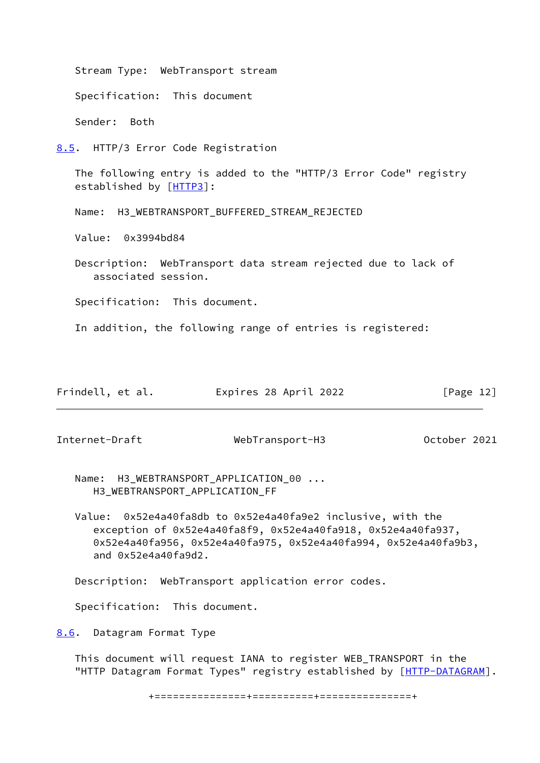<span id="page-13-0"></span> Stream Type: WebTransport stream Specification: This document Sender: Both [8.5](#page-13-0). HTTP/3 Error Code Registration The following entry is added to the "HTTP/3 Error Code" registry established by [\[HTTP3](#page-14-1)]: Name: H3\_WEBTRANSPORT\_BUFFERED\_STREAM\_REJECTED Value: 0x3994bd84 Description: WebTransport data stream rejected due to lack of associated session. Specification: This document. In addition, the following range of entries is registered:

| Frindell, et al. | Expires 28 April 2022 | [Page 12] |
|------------------|-----------------------|-----------|
|------------------|-----------------------|-----------|

<span id="page-13-2"></span>Internet-Draft WebTransport-H3 October 2021

Name: H3\_WEBTRANSPORT\_APPLICATION\_00 ... H3\_WEBTRANSPORT\_APPLICATION\_FF

 Value: 0x52e4a40fa8db to 0x52e4a40fa9e2 inclusive, with the exception of 0x52e4a40fa8f9, 0x52e4a40fa918, 0x52e4a40fa937, 0x52e4a40fa956, 0x52e4a40fa975, 0x52e4a40fa994, 0x52e4a40fa9b3, and 0x52e4a40fa9d2.

Description: WebTransport application error codes.

Specification: This document.

<span id="page-13-1"></span>[8.6](#page-13-1). Datagram Format Type

 This document will request IANA to register WEB\_TRANSPORT in the "HTTP Datagram Format Types" registry established by [\[HTTP-DATAGRAM\]](#page-14-4).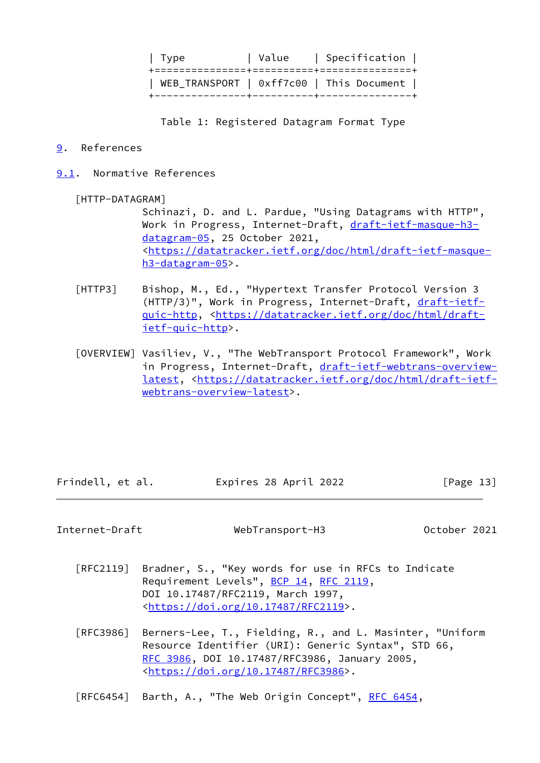| Type | Value | Specification | +===============+==========+===============+ | WEB\_TRANSPORT | 0xff7c00 | This Document | +---------------+----------+---------------+

Table 1: Registered Datagram Format Type

### <span id="page-14-2"></span>[9](#page-14-2). References

<span id="page-14-3"></span>[9.1](#page-14-3). Normative References

# <span id="page-14-4"></span>[HTTP-DATAGRAM]

 Schinazi, D. and L. Pardue, "Using Datagrams with HTTP", Work in Progress, Internet-Draft, [draft-ietf-masque-h3](https://datatracker.ietf.org/doc/pdf/draft-ietf-masque-h3-datagram-05) [datagram-05](https://datatracker.ietf.org/doc/pdf/draft-ietf-masque-h3-datagram-05), 25 October 2021, <[https://datatracker.ietf.org/doc/html/draft-ietf-masque](https://datatracker.ietf.org/doc/html/draft-ietf-masque-h3-datagram-05) [h3-datagram-05](https://datatracker.ietf.org/doc/html/draft-ietf-masque-h3-datagram-05)>.

- <span id="page-14-1"></span> [HTTP3] Bishop, M., Ed., "Hypertext Transfer Protocol Version 3 (HTTP/3)", Work in Progress, Internet-Draft, [draft-ietf](https://datatracker.ietf.org/doc/pdf/draft-ietf-quic-http) [quic-http,](https://datatracker.ietf.org/doc/pdf/draft-ietf-quic-http) <[https://datatracker.ietf.org/doc/html/draft](https://datatracker.ietf.org/doc/html/draft-ietf-quic-http) [ietf-quic-http](https://datatracker.ietf.org/doc/html/draft-ietf-quic-http)>.
- <span id="page-14-0"></span> [OVERVIEW] Vasiliev, V., "The WebTransport Protocol Framework", Work in Progress, Internet-Draft, [draft-ietf-webtrans-overview](https://datatracker.ietf.org/doc/pdf/draft-ietf-webtrans-overview-latest) [latest](https://datatracker.ietf.org/doc/pdf/draft-ietf-webtrans-overview-latest), <[https://datatracker.ietf.org/doc/html/draft-ietf](https://datatracker.ietf.org/doc/html/draft-ietf-webtrans-overview-latest) [webtrans-overview-latest>](https://datatracker.ietf.org/doc/html/draft-ietf-webtrans-overview-latest).

Frindell, et al. Expires 28 April 2022 [Page 13]

Internet-Draft WebTransport-H3 October 2021

- [RFC2119] Bradner, S., "Key words for use in RFCs to Indicate Requirement Levels", [BCP 14](https://datatracker.ietf.org/doc/pdf/bcp14), [RFC 2119](https://datatracker.ietf.org/doc/pdf/rfc2119), DOI 10.17487/RFC2119, March 1997, <[https://doi.org/10.17487/RFC2119>](https://doi.org/10.17487/RFC2119).
- [RFC3986] Berners-Lee, T., Fielding, R., and L. Masinter, "Uniform Resource Identifier (URI): Generic Syntax", STD 66, [RFC 3986,](https://datatracker.ietf.org/doc/pdf/rfc3986) DOI 10.17487/RFC3986, January 2005, <[https://doi.org/10.17487/RFC3986>](https://doi.org/10.17487/RFC3986).

[RFC6454] Barth, A., "The Web Origin Concept", [RFC 6454](https://datatracker.ietf.org/doc/pdf/rfc6454),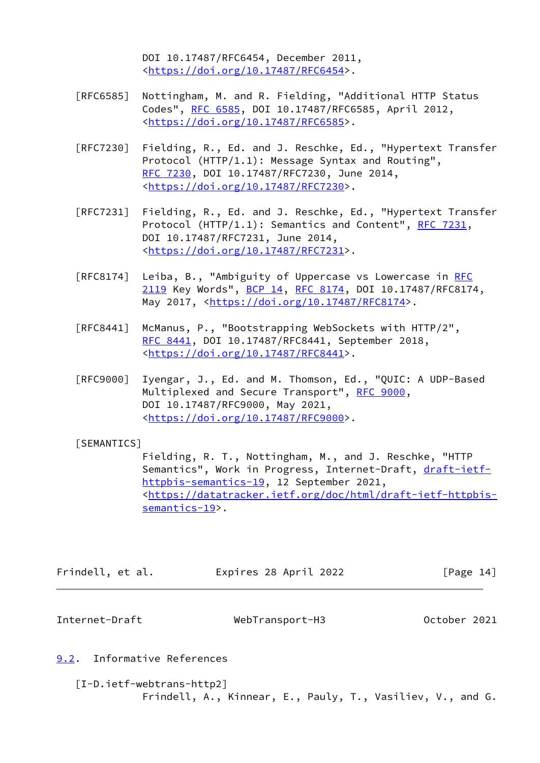DOI 10.17487/RFC6454, December 2011, <[https://doi.org/10.17487/RFC6454>](https://doi.org/10.17487/RFC6454).

- [RFC6585] Nottingham, M. and R. Fielding, "Additional HTTP Status Codes", [RFC 6585,](https://datatracker.ietf.org/doc/pdf/rfc6585) DOI 10.17487/RFC6585, April 2012, <[https://doi.org/10.17487/RFC6585>](https://doi.org/10.17487/RFC6585).
- [RFC7230] Fielding, R., Ed. and J. Reschke, Ed., "Hypertext Transfer Protocol (HTTP/1.1): Message Syntax and Routing", [RFC 7230,](https://datatracker.ietf.org/doc/pdf/rfc7230) DOI 10.17487/RFC7230, June 2014, <[https://doi.org/10.17487/RFC7230>](https://doi.org/10.17487/RFC7230).
- [RFC7231] Fielding, R., Ed. and J. Reschke, Ed., "Hypertext Transfer Protocol (HTTP/1.1): Semantics and Content", [RFC 7231](https://datatracker.ietf.org/doc/pdf/rfc7231), DOI 10.17487/RFC7231, June 2014, <[https://doi.org/10.17487/RFC7231>](https://doi.org/10.17487/RFC7231).
- [RFC8174] Leiba, B., "Ambiguity of Uppercase vs Lowercase in [RFC](https://datatracker.ietf.org/doc/pdf/rfc2119) [2119](https://datatracker.ietf.org/doc/pdf/rfc2119) Key Words", [BCP 14](https://datatracker.ietf.org/doc/pdf/bcp14), [RFC 8174,](https://datatracker.ietf.org/doc/pdf/rfc8174) DOI 10.17487/RFC8174, May 2017, [<https://doi.org/10.17487/RFC8174](https://doi.org/10.17487/RFC8174)>.
- [RFC8441] McManus, P., "Bootstrapping WebSockets with HTTP/2", [RFC 8441,](https://datatracker.ietf.org/doc/pdf/rfc8441) DOI 10.17487/RFC8441, September 2018, <[https://doi.org/10.17487/RFC8441>](https://doi.org/10.17487/RFC8441).
- [RFC9000] Iyengar, J., Ed. and M. Thomson, Ed., "QUIC: A UDP-Based Multiplexed and Secure Transport", [RFC 9000](https://datatracker.ietf.org/doc/pdf/rfc9000), DOI 10.17487/RFC9000, May 2021, <[https://doi.org/10.17487/RFC9000>](https://doi.org/10.17487/RFC9000).

# <span id="page-15-2"></span>[SEMANTICS]

 Fielding, R. T., Nottingham, M., and J. Reschke, "HTTP Semantics", Work in Progress, Internet-Draft, [draft-ietf](https://datatracker.ietf.org/doc/pdf/draft-ietf-httpbis-semantics-19) [httpbis-semantics-19,](https://datatracker.ietf.org/doc/pdf/draft-ietf-httpbis-semantics-19) 12 September 2021, <[https://datatracker.ietf.org/doc/html/draft-ietf-httpbis](https://datatracker.ietf.org/doc/html/draft-ietf-httpbis-semantics-19) [semantics-19>](https://datatracker.ietf.org/doc/html/draft-ietf-httpbis-semantics-19).

| Frindell, et al. | Expires 28 April 2022 | [Page 14] |  |
|------------------|-----------------------|-----------|--|
|------------------|-----------------------|-----------|--|

<span id="page-15-1"></span>Internet-Draft WebTransport-H3 October 2021

# <span id="page-15-0"></span>[9.2](#page-15-0). Informative References

<span id="page-15-3"></span> [I-D.ietf-webtrans-http2] Frindell, A., Kinnear, E., Pauly, T., Vasiliev, V., and G.